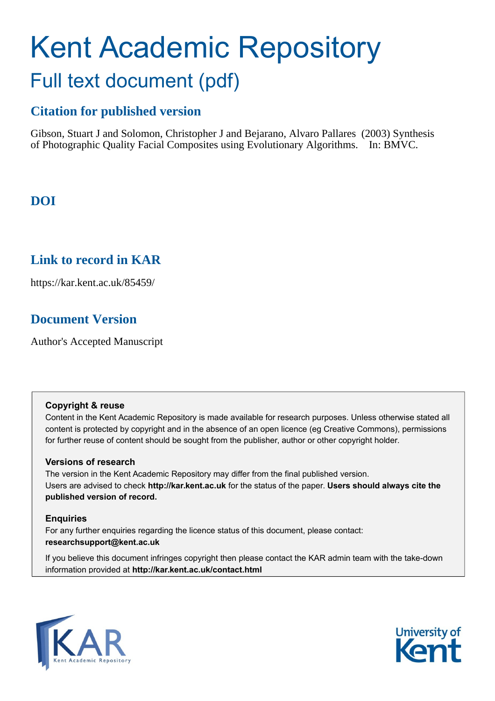# Kent Academic Repository Full text document (pdf)

## **Citation for published version**

Gibson, Stuart J and Solomon, Christopher J and Bejarano, Alvaro Pallares (2003) Synthesis of Photographic Quality Facial Composites using Evolutionary Algorithms. In: BMVC.

# **DOI**

## **Link to record in KAR**

https://kar.kent.ac.uk/85459/

## **Document Version**

Author's Accepted Manuscript

#### **Copyright & reuse**

Content in the Kent Academic Repository is made available for research purposes. Unless otherwise stated all content is protected by copyright and in the absence of an open licence (eg Creative Commons), permissions for further reuse of content should be sought from the publisher, author or other copyright holder.

#### **Versions of research**

The version in the Kent Academic Repository may differ from the final published version. Users are advised to check **http://kar.kent.ac.uk** for the status of the paper. **Users should always cite the published version of record.**

#### **Enquiries**

For any further enquiries regarding the licence status of this document, please contact: **researchsupport@kent.ac.uk**

If you believe this document infringes copyright then please contact the KAR admin team with the take-down information provided at **http://kar.kent.ac.uk/contact.html**



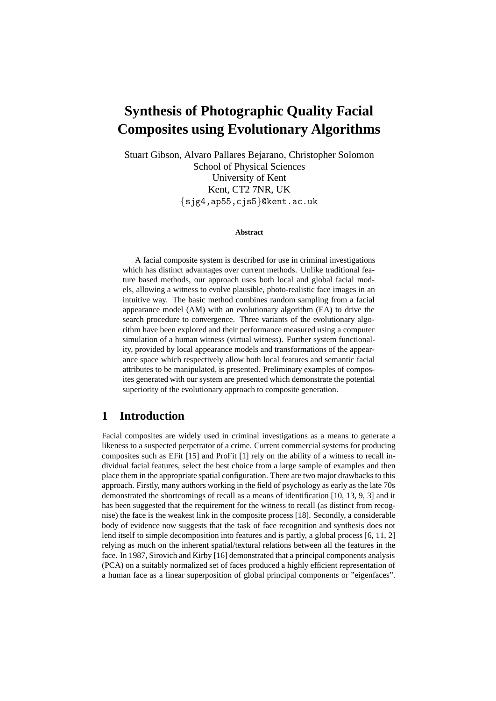# **Synthesis of Photographic Quality Facial Composites using Evolutionary Algorithms**

Stuart Gibson, Alvaro Pallares Bejarano, Christopher Solomon School of Physical Sciences University of Kent Kent, CT2 7NR, UK *{*sjg4,ap55,cjs5*}*@kent.ac.uk

#### **Abstract**

A facial composite system is described for use in criminal investigations which has distinct advantages over current methods. Unlike traditional feature based methods, our approach uses both local and global facial models, allowing a witness to evolve plausible, photo-realistic face images in an intuitive way. The basic method combines random sampling from a facial appearance model (AM) with an evolutionary algorithm (EA) to drive the search procedure to convergence. Three variants of the evolutionary algorithm have been explored and their performance measured using a computer simulation of a human witness (virtual witness). Further system functionality, provided by local appearance models and transformations of the appearance space which respectively allow both local features and semantic facial attributes to be manipulated, is presented. Preliminary examples of composites generated with our system are presented which demonstrate the potential superiority of the evolutionary approach to composite generation.

#### **1 Introduction**

Facial composites are widely used in criminal investigations as a means to generate a likeness to a suspected perpetrator of a crime. Current commercial systems for producing composites such as EFit [15] and ProFit [1] rely on the ability of a witness to recall individual facial features, select the best choice from a large sample of examples and then place them in the appropriate spatial configuration. There are two major drawbacks to this approach. Firstly, many authors working in the field of psychology as early as the late 70s demonstrated the shortcomings of recall as a means of identification [10, 13, 9, 3] and it has been suggested that the requirement for the witness to recall (as distinct from recognise) the face is the weakest link in the composite process [18]. Secondly, a considerable body of evidence now suggests that the task of face recognition and synthesis does not lend itself to simple decomposition into features and is partly, a global process [6, 11, 2] relying as much on the inherent spatial/textural relations between all the features in the face. In 1987, Sirovich and Kirby [16] demonstrated that a principal components analysis (PCA) on a suitably normalized set of faces produced a highly efficient representation of a human face as a linear superposition of global principal components or "eigenfaces".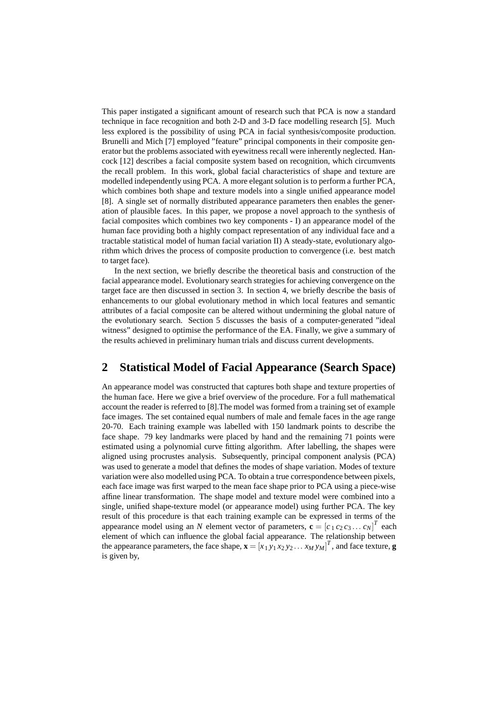This paper instigated a significant amount of research such that PCA is now a standard technique in face recognition and both 2-D and 3-D face modelling research [5]. Much less explored is the possibility of using PCA in facial synthesis/composite production. Brunelli and Mich [7] employed "feature" principal components in their composite generator but the problems associated with eyewitness recall were inherently neglected. Hancock [12] describes a facial composite system based on recognition, which circumvents the recall problem. In this work, global facial characteristics of shape and texture are modelled independently using PCA. A more elegant solution is to perform a further PCA, which combines both shape and texture models into a single unified appearance model [8]. A single set of normally distributed appearance parameters then enables the generation of plausible faces. In this paper, we propose a novel approach to the synthesis of facial composites which combines two key components - I) an appearance model of the human face providing both a highly compact representation of any individual face and a tractable statistical model of human facial variation II) A steady-state, evolutionary algorithm which drives the process of composite production to convergence (i.e. best match to target face).

In the next section, we briefly describe the theoretical basis and construction of the facial appearance model. Evolutionary search strategies for achieving convergence on the target face are then discussed in section 3. In section 4, we briefly describe the basis of enhancements to our global evolutionary method in which local features and semantic attributes of a facial composite can be altered without undermining the global nature of the evolutionary search. Section 5 discusses the basis of a computer-generated "ideal witness" designed to optimise the performance of the EA. Finally, we give a summary of the results achieved in preliminary human trials and discuss current developments.

#### **2 Statistical Model of Facial Appearance (Search Space)**

An appearance model was constructed that captures both shape and texture properties of the human face. Here we give a brief overview of the procedure. For a full mathematical account the reader is referred to [8].The model was formed from a training set of example face images. The set contained equal numbers of male and female faces in the age range 20-70. Each training example was labelled with 150 landmark points to describe the face shape. 79 key landmarks were placed by hand and the remaining 71 points were estimated using a polynomial curve fitting algorithm. After labelling, the shapes were aligned using procrustes analysis. Subsequently, principal component analysis (PCA) was used to generate a model that defines the modes of shape variation. Modes of texture variation were also modelled using PCA. To obtain a true correspondence between pixels, each face image was first warped to the mean face shape prior to PCA using a piece-wise affine linear transformation. The shape model and texture model were combined into a single, unified shape-texture model (or appearance model) using further PCA. The key result of this procedure is that each training example can be expressed in terms of the appearance model using an *N* element vector of parameters,  $\mathbf{c} = [c_1 c_2 c_3 \dots c_N]^T$  each element of which can influence the global facial appearance. The relationship between the appearance parameters, the face shape,  $\mathbf{x} = [x_1 y_1 x_2 y_2 ... x_M y_M]^T$ , and face texture, **g** is given by,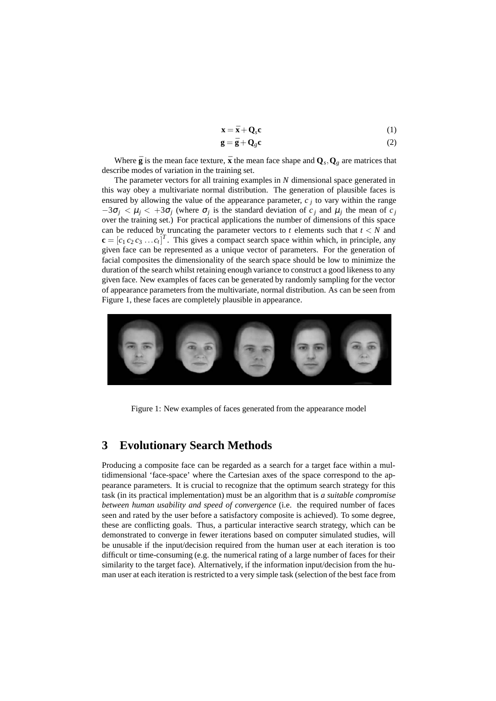$$
\mathbf{x} = \bar{\mathbf{x}} + \mathbf{Q}_s \mathbf{c} \tag{1}
$$

$$
\mathbf{g} = \bar{\mathbf{g}} + \mathbf{Q}_g \mathbf{c} \tag{2}
$$

Where  $\bar{g}$  is the mean face texture,  $\bar{x}$  the mean face shape and  $Q_s$ ,  $Q_g$  are matrices that describe modes of variation in the training set.

The parameter vectors for all training examples in *N* dimensional space generated in this way obey a multivariate normal distribution. The generation of plausible faces is ensured by allowing the value of the appearance parameter,  $c_i$  to vary within the range  $-3\sigma_j < \mu_j < +3\sigma_j$  (where  $\sigma_j$  is the standard deviation of  $c_j$  and  $\mu_j$  the mean of  $c_j$ over the training set.) For practical applications the number of dimensions of this space can be reduced by truncating the parameter vectors to  $t$  elements such that  $t < N$  and  $\mathbf{c} = [c_1 c_2 c_3 \dots c_t]^T$ . This gives a compact search space within which, in principle, any given face can be represented as a unique vector of parameters. For the generation of facial composites the dimensionality of the search space should be low to minimize the duration of the search whilst retaining enough variance to construct a good likeness to any given face. New examples of faces can be generated by randomly sampling for the vector of appearance parameters from the multivariate, normal distribution. As can be seen from Figure 1, these faces are completely plausible in appearance.



Figure 1: New examples of faces generated from the appearance model

#### **3 Evolutionary Search Methods**

Producing a composite face can be regarded as a search for a target face within a multidimensional 'face-space' where the Cartesian axes of the space correspond to the appearance parameters. It is crucial to recognize that the optimum search strategy for this task (in its practical implementation) must be an algorithm that is *a suitable compromise between human usability and speed of convergence* (i.e. the required number of faces seen and rated by the user before a satisfactory composite is achieved). To some degree, these are conflicting goals. Thus, a particular interactive search strategy, which can be demonstrated to converge in fewer iterations based on computer simulated studies, will be unusable if the input/decision required from the human user at each iteration is too difficult or time-consuming (e.g. the numerical rating of a large number of faces for their similarity to the target face). Alternatively, if the information input/decision from the human user at each iteration is restricted to a very simple task (selection of the best face from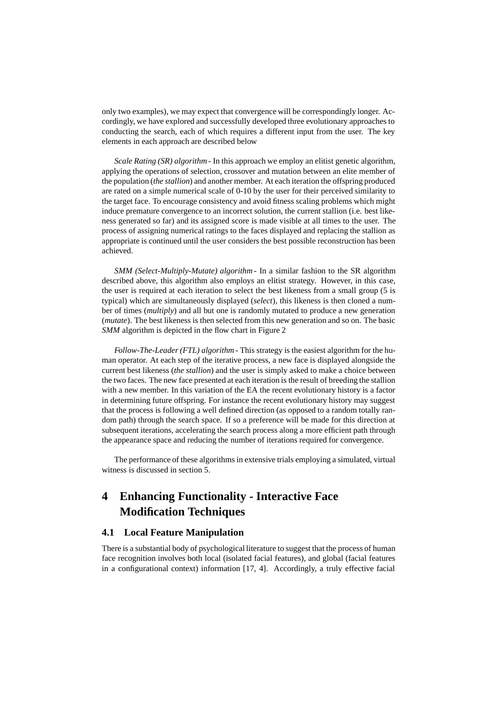only two examples), we may expect that convergence will be correspondingly longer. Accordingly, we have explored and successfully developed three evolutionary approaches to conducting the search, each of which requires a different input from the user. The key elements in each approach are described below

*Scale Rating (SR) algorithm* - In this approach we employ an elitist genetic algorithm, applying the operations of selection, crossover and mutation between an elite member of the population (*the stallion*) and another member. At each iteration the offspring produced are rated on a simple numerical scale of 0-10 by the user for their perceived similarity to the target face. To encourage consistency and avoid fitness scaling problems which might induce premature convergence to an incorrect solution, the current stallion (i.e. best likeness generated so far) and its assigned score is made visible at all times to the user. The process of assigning numerical ratings to the faces displayed and replacing the stallion as appropriate is continued until the user considers the best possible reconstruction has been achieved.

*SMM (Select-Multiply-Mutate) algorithm* - In a similar fashion to the SR algorithm described above, this algorithm also employs an elitist strategy. However, in this case, the user is required at each iteration to select the best likeness from a small group (5 is typical) which are simultaneously displayed (*select*), this likeness is then cloned a number of times (*multiply*) and all but one is randomly mutated to produce a new generation (*mutate*). The best likeness is then selected from this new generation and so on. The basic *SMM* algorithm is depicted in the flow chart in Figure 2

*Follow-The-Leader (FTL) algorithm* - This strategy is the easiest algorithm for the human operator. At each step of the iterative process, a new face is displayed alongside the current best likeness (*the stallion*) and the user is simply asked to make a choice between the two faces. The new face presented at each iteration is the result of breeding the stallion with a new member. In this variation of the EA the recent evolutionary history is a factor in determining future offspring. For instance the recent evolutionary history may suggest that the process is following a well defined direction (as opposed to a random totally random path) through the search space. If so a preference will be made for this direction at subsequent iterations, accelerating the search process along a more efficient path through the appearance space and reducing the number of iterations required for convergence.

The performance of these algorithms in extensive trials employing a simulated, virtual witness is discussed in section 5.

## **4 Enhancing Functionality - Interactive Face Modification Techniques**

#### **4.1 Local Feature Manipulation**

There is a substantial body of psychological literature to suggest that the process of human face recognition involves both local (isolated facial features), and global (facial features in a configurational context) information [17, 4]. Accordingly, a truly effective facial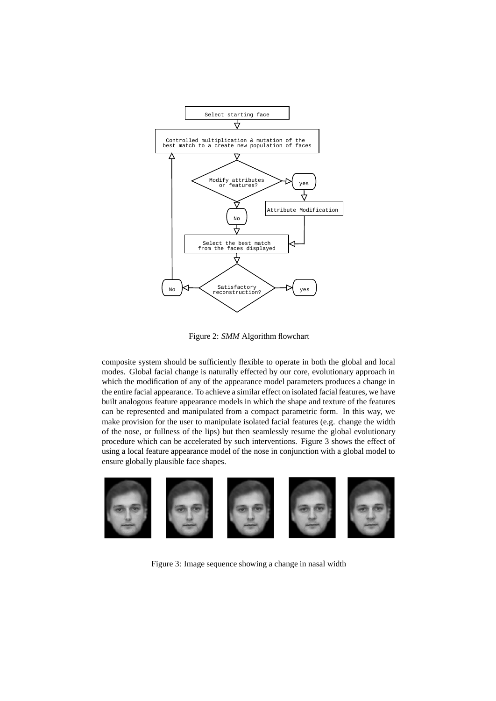

Figure 2: *SMM* Algorithm flowchart

composite system should be sufficiently flexible to operate in both the global and local modes. Global facial change is naturally effected by our core, evolutionary approach in which the modification of any of the appearance model parameters produces a change in the entire facial appearance. To achieve a similar effect on isolated facial features, we have built analogous feature appearance models in which the shape and texture of the features can be represented and manipulated from a compact parametric form. In this way, we make provision for the user to manipulate isolated facial features (e.g. change the width of the nose, or fullness of the lips) but then seamlessly resume the global evolutionary procedure which can be accelerated by such interventions. Figure 3 shows the effect of using a local feature appearance model of the nose in conjunction with a global model to ensure globally plausible face shapes.



Figure 3: Image sequence showing a change in nasal width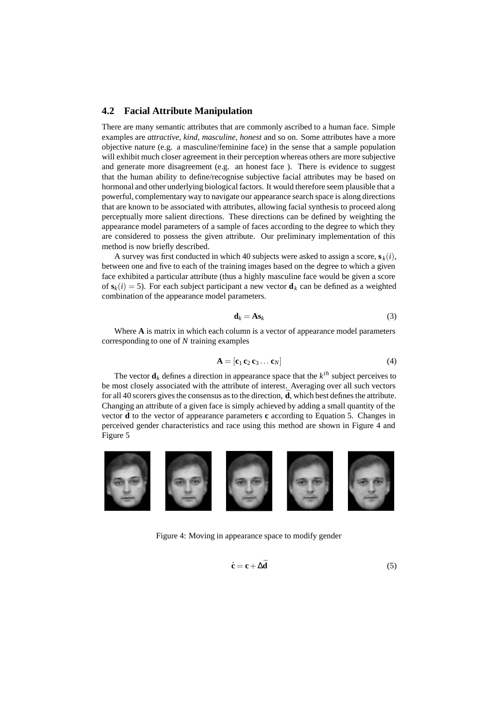#### **4.2 Facial Attribute Manipulation**

There are many semantic attributes that are commonly ascribed to a human face. Simple examples are *attractive*, *kind*, *masculine*, *honest* and so on. Some attributes have a more objective nature (e.g. a masculine/feminine face) in the sense that a sample population will exhibit much closer agreement in their perception whereas others are more subjective and generate more disagreement (e.g. an honest face ). There is evidence to suggest that the human ability to define/recognise subjective facial attributes may be based on hormonal and other underlying biological factors. It would therefore seem plausible that a powerful, complementary way to navigate our appearance search space is along directions that are known to be associated with attributes, allowing facial synthesis to proceed along perceptually more salient directions. These directions can be defined by weighting the appearance model parameters of a sample of faces according to the degree to which they are considered to possess the given attribute. Our preliminary implementation of this method is now briefly described.

A survey was first conducted in which 40 subjects were asked to assign a score,  $\mathbf{s}_k(i)$ , between one and five to each of the training images based on the degree to which a given face exhibited a particular attribute (thus a highly masculine face would be given a score of  $\mathbf{s}_k(i) = 5$ ). For each subject participant a new vector  $\mathbf{d}_k$  can be defined as a weighted combination of the appearance model parameters.

$$
\mathbf{d}_k = \mathbf{A}\mathbf{s}_k \tag{3}
$$

Where **A** is matrix in which each column is a vector of appearance model parameters corresponding to one of *N* training examples

$$
\mathbf{A} = [\mathbf{c}_1 \, \mathbf{c}_2 \, \mathbf{c}_3 \dots \mathbf{c}_N] \tag{4}
$$

The vector  $\mathbf{d}_k$  defines a direction in appearance space that the  $k^{th}$  subject perceives to be most closely associated with the attribute of interest. Averaging over all such vectors for all 40 scorers gives the consensus as to the direction,  $\bar{d}$ , which best defines the attribute. Changing an attribute of a given face is simply achieved by adding a small quantity of the vector  $\mathbf{\bar{d}}$  to the vector of appearance parameters **c** according to Equation 5. Changes in perceived gender characteristics and race using this method are shown in Figure 4 and Figure 5



Figure 4: Moving in appearance space to modify gender

$$
\acute{\mathbf{c}} = \mathbf{c} + \Delta \bar{\mathbf{d}} \tag{5}
$$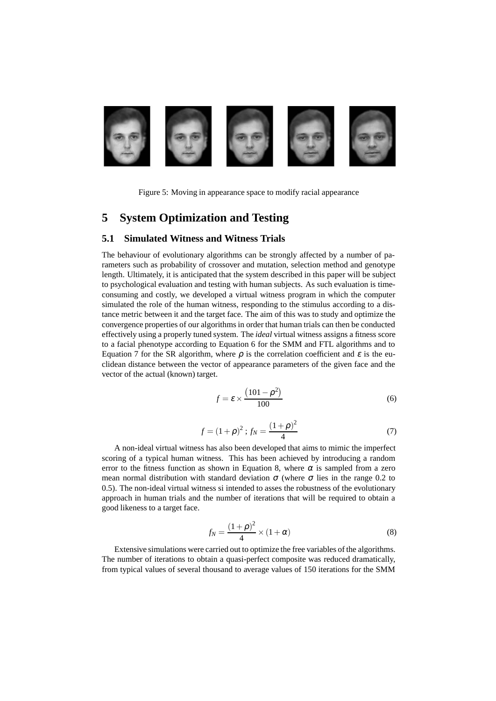

Figure 5: Moving in appearance space to modify racial appearance

### **5 System Optimization and Testing**

#### **5.1 Simulated Witness and Witness Trials**

The behaviour of evolutionary algorithms can be strongly affected by a number of parameters such as probability of crossover and mutation, selection method and genotype length. Ultimately, it is anticipated that the system described in this paper will be subject to psychological evaluation and testing with human subjects. As such evaluation is timeconsuming and costly, we developed a virtual witness program in which the computer simulated the role of the human witness, responding to the stimulus according to a distance metric between it and the target face. The aim of this was to study and optimize the convergence properties of our algorithms in order that human trials can then be conducted effectively using a properly tuned system. The *ideal* virtual witness assigns a fitness score to a facial phenotype according to Equation 6 for the SMM and FTL algorithms and to Equation 7 for the SR algorithm, where  $\rho$  is the correlation coefficient and  $\varepsilon$  is the euclidean distance between the vector of appearance parameters of the given face and the vector of the actual (known) target.

$$
f = \varepsilon \times \frac{(101 - \rho^2)}{100} \tag{6}
$$

$$
f = (1 + \rho)^2 ; f_N = \frac{(1 + \rho)^2}{4}
$$
 (7)

A non-ideal virtual witness has also been developed that aims to mimic the imperfect scoring of a typical human witness. This has been achieved by introducing a random error to the fitness function as shown in Equation 8, where  $\alpha$  is sampled from a zero mean normal distribution with standard deviation  $\sigma$  (where  $\sigma$  lies in the range 0.2 to 0.5). The non-ideal virtual witness si intended to asses the robustness of the evolutionary approach in human trials and the number of iterations that will be required to obtain a good likeness to a target face.

$$
f_N = \frac{(1+\rho)^2}{4} \times (1+\alpha) \tag{8}
$$

Extensive simulations were carried out to optimize the free variables of the algorithms. The number of iterations to obtain a quasi-perfect composite was reduced dramatically, from typical values of several thousand to average values of 150 iterations for the SMM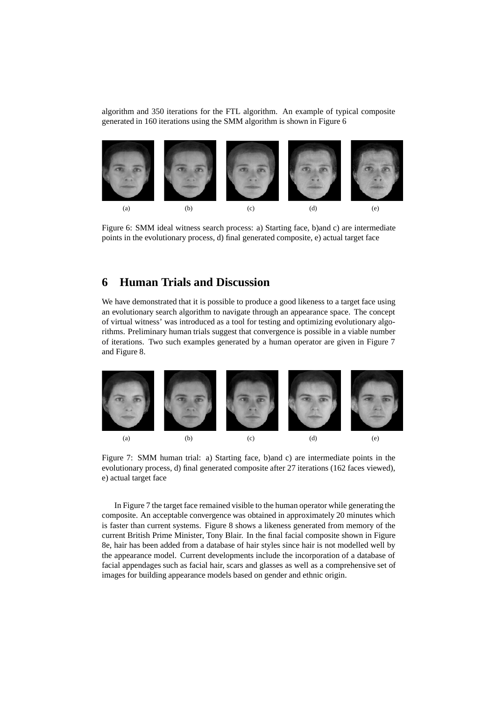algorithm and 350 iterations for the FTL algorithm. An example of typical composite generated in 160 iterations using the SMM algorithm is shown in Figure 6



Figure 6: SMM ideal witness search process: a) Starting face, b)and c) are intermediate points in the evolutionary process, d) final generated composite, e) actual target face

#### **6 Human Trials and Discussion**

We have demonstrated that it is possible to produce a good likeness to a target face using an evolutionary search algorithm to navigate through an appearance space. The concept of virtual witness' was introduced as a tool for testing and optimizing evolutionary algorithms. Preliminary human trials suggest that convergence is possible in a viable number of iterations. Two such examples generated by a human operator are given in Figure 7 and Figure 8.



Figure 7: SMM human trial: a) Starting face, b)and c) are intermediate points in the evolutionary process, d) final generated composite after 27 iterations (162 faces viewed), e) actual target face

In Figure 7 the target face remained visible to the human operator while generating the composite. An acceptable convergence was obtained in approximately 20 minutes which is faster than current systems. Figure 8 shows a likeness generated from memory of the current British Prime Minister, Tony Blair. In the final facial composite shown in Figure 8e, hair has been added from a database of hair styles since hair is not modelled well by the appearance model. Current developments include the incorporation of a database of facial appendages such as facial hair, scars and glasses as well as a comprehensive set of images for building appearance models based on gender and ethnic origin.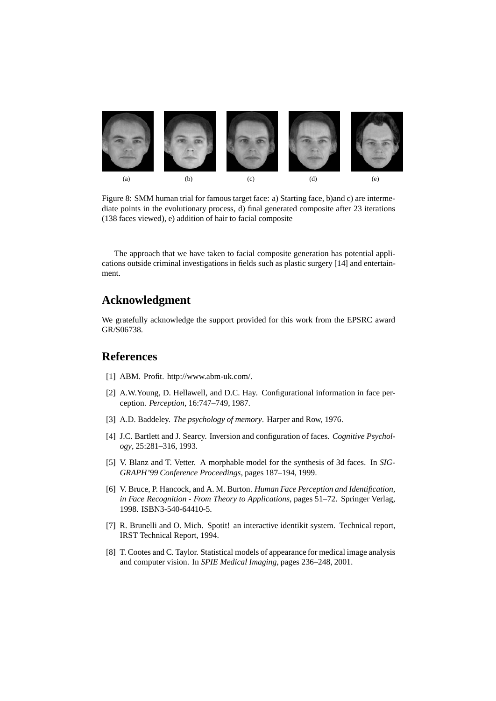

Figure 8: SMM human trial for famous target face: a) Starting face, b)and c) are intermediate points in the evolutionary process, d) final generated composite after 23 iterations (138 faces viewed), e) addition of hair to facial composite

The approach that we have taken to facial composite generation has potential applications outside criminal investigations in fields such as plastic surgery [14] and entertainment.

## **Acknowledgment**

We gratefully acknowledge the support provided for this work from the EPSRC award GR/S06738.

#### **References**

- [1] ABM. Profit. http://www.abm-uk.com/.
- [2] A.W.Young, D. Hellawell, and D.C. Hay. Configurational information in face perception. *Perception*, 16:747–749, 1987.
- [3] A.D. Baddeley. *The psychology of memory*. Harper and Row, 1976.
- [4] J.C. Bartlett and J. Searcy. Inversion and configuration of faces. *Cognitive Psychology*, 25:281–316, 1993.
- [5] V. Blanz and T. Vetter. A morphable model for the synthesis of 3d faces. In *SIG-GRAPH'99 Conference Proceedings*, pages 187–194, 1999.
- [6] V. Bruce, P. Hancock, and A. M. Burton. *Human Face Perception and Identification, in Face Recognition - From Theory to Applications*, pages 51–72. Springer Verlag, 1998. ISBN3-540-64410-5.
- [7] R. Brunelli and O. Mich. Spotit! an interactive identikit system. Technical report, IRST Technical Report, 1994.
- [8] T. Cootes and C. Taylor. Statistical models of appearance for medical image analysis and computer vision. In *SPIE Medical Imaging*, pages 236–248, 2001.